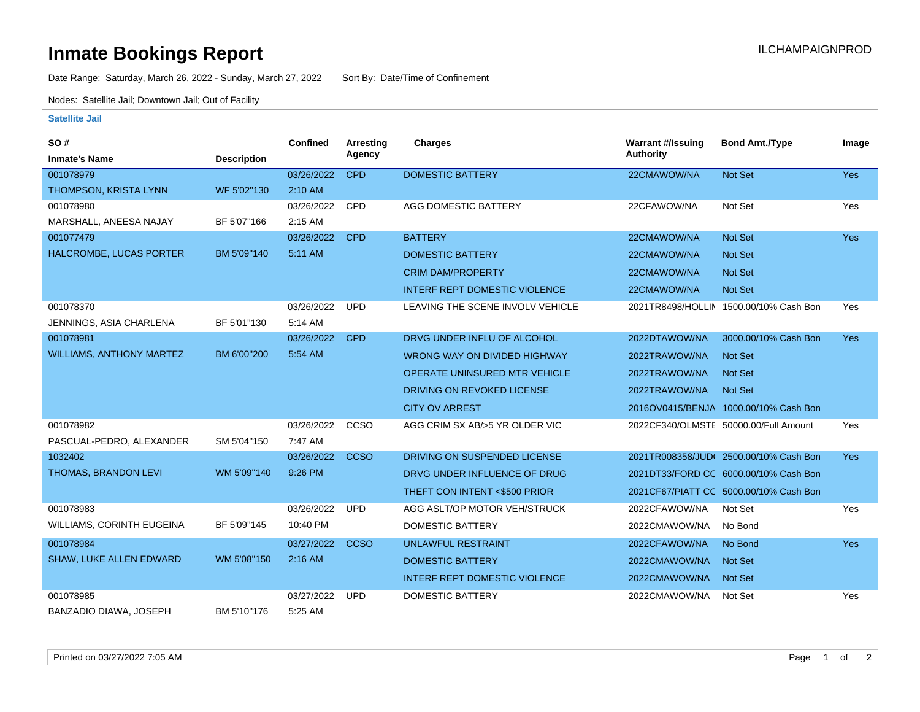## **Inmate Bookings Report Installation ILCHAMPAIGNPROD**

Date Range: Saturday, March 26, 2022 - Sunday, March 27, 2022 Sort By: Date/Time of Confinement

Nodes: Satellite Jail; Downtown Jail; Out of Facility

## **Satellite Jail**

| SO#                             |                    | <b>Confined</b> | Arresting   | Charges                              | <b>Warrant #/Issuing</b> | <b>Bond Amt./Type</b>                  | Image      |
|---------------------------------|--------------------|-----------------|-------------|--------------------------------------|--------------------------|----------------------------------------|------------|
| <b>Inmate's Name</b>            | <b>Description</b> |                 | Agency      |                                      | <b>Authority</b>         |                                        |            |
| 001078979                       |                    | 03/26/2022      | <b>CPD</b>  | <b>DOMESTIC BATTERY</b>              | 22CMAWOW/NA              | Not Set                                | <b>Yes</b> |
| THOMPSON, KRISTA LYNN           | WF 5'02"130        | 2:10 AM         |             |                                      |                          |                                        |            |
| 001078980                       |                    | 03/26/2022      | CPD         | AGG DOMESTIC BATTERY                 | 22CFAWOW/NA              | Not Set                                | Yes        |
| MARSHALL, ANEESA NAJAY          | BF 5'07"166        | 2:15 AM         |             |                                      |                          |                                        |            |
| 001077479                       |                    | 03/26/2022      | <b>CPD</b>  | <b>BATTERY</b>                       | 22CMAWOW/NA              | Not Set                                | <b>Yes</b> |
| HALCROMBE, LUCAS PORTER         | BM 5'09"140        | 5:11 AM         |             | <b>DOMESTIC BATTERY</b>              | 22CMAWOW/NA              | <b>Not Set</b>                         |            |
|                                 |                    |                 |             | <b>CRIM DAM/PROPERTY</b>             | 22CMAWOW/NA              | <b>Not Set</b>                         |            |
|                                 |                    |                 |             | <b>INTERF REPT DOMESTIC VIOLENCE</b> | 22CMAWOW/NA              | Not Set                                |            |
| 001078370                       |                    | 03/26/2022      | <b>UPD</b>  | LEAVING THE SCENE INVOLV VEHICLE     |                          | 2021TR8498/HOLLIN 1500.00/10% Cash Bon | Yes        |
| JENNINGS, ASIA CHARLENA         | BF 5'01"130        | 5:14 AM         |             |                                      |                          |                                        |            |
| 001078981                       |                    | 03/26/2022      | <b>CPD</b>  | DRVG UNDER INFLU OF ALCOHOL          | 2022DTAWOW/NA            | 3000.00/10% Cash Bon                   | <b>Yes</b> |
| <b>WILLIAMS, ANTHONY MARTEZ</b> | BM 6'00"200        | 5:54 AM         |             | <b>WRONG WAY ON DIVIDED HIGHWAY</b>  | 2022TRAWOW/NA            | <b>Not Set</b>                         |            |
|                                 |                    |                 |             | OPERATE UNINSURED MTR VEHICLE        | 2022TRAWOW/NA            | <b>Not Set</b>                         |            |
|                                 |                    |                 |             | DRIVING ON REVOKED LICENSE           | 2022TRAWOW/NA            | <b>Not Set</b>                         |            |
|                                 |                    |                 |             | <b>CITY OV ARREST</b>                |                          | 2016OV0415/BENJA 1000.00/10% Cash Bon  |            |
| 001078982                       |                    | 03/26/2022      | CCSO        | AGG CRIM SX AB/>5 YR OLDER VIC       |                          | 2022CF340/OLMSTE 50000.00/Full Amount  | Yes        |
| PASCUAL-PEDRO, ALEXANDER        | SM 5'04"150        | 7:47 AM         |             |                                      |                          |                                        |            |
| 1032402                         |                    | 03/26/2022      | <b>CCSO</b> | DRIVING ON SUSPENDED LICENSE         |                          | 2021TR008358/JUD(2500.00/10% Cash Bon  | <b>Yes</b> |
| THOMAS, BRANDON LEVI            | WM 5'09"140        | 9:26 PM         |             | DRVG UNDER INFLUENCE OF DRUG         |                          | 2021DT33/FORD CC 6000.00/10% Cash Bon  |            |
|                                 |                    |                 |             | THEFT CON INTENT <\$500 PRIOR        |                          | 2021CF67/PIATT CC 5000.00/10% Cash Bon |            |
| 001078983                       |                    | 03/26/2022      | <b>UPD</b>  | AGG ASLT/OP MOTOR VEH/STRUCK         | 2022CFAWOW/NA            | Not Set                                | Yes        |
| WILLIAMS, CORINTH EUGEINA       | BF 5'09"145        | 10:40 PM        |             | DOMESTIC BATTERY                     | 2022CMAWOW/NA            | No Bond                                |            |
| 001078984                       |                    | 03/27/2022      | <b>CCSO</b> | <b>UNLAWFUL RESTRAINT</b>            | 2022CFAWOW/NA            | No Bond                                | <b>Yes</b> |
| <b>SHAW, LUKE ALLEN EDWARD</b>  | WM 5'08"150        | 2:16 AM         |             | <b>DOMESTIC BATTERY</b>              | 2022CMAWOW/NA            | <b>Not Set</b>                         |            |
|                                 |                    |                 |             | <b>INTERF REPT DOMESTIC VIOLENCE</b> | 2022CMAWOW/NA            | <b>Not Set</b>                         |            |
| 001078985                       |                    | 03/27/2022      | <b>UPD</b>  | <b>DOMESTIC BATTERY</b>              | 2022CMAWOW/NA            | Not Set                                | Yes        |
| <b>BANZADIO DIAWA, JOSEPH</b>   | BM 5'10"176        | 5:25 AM         |             |                                      |                          |                                        |            |